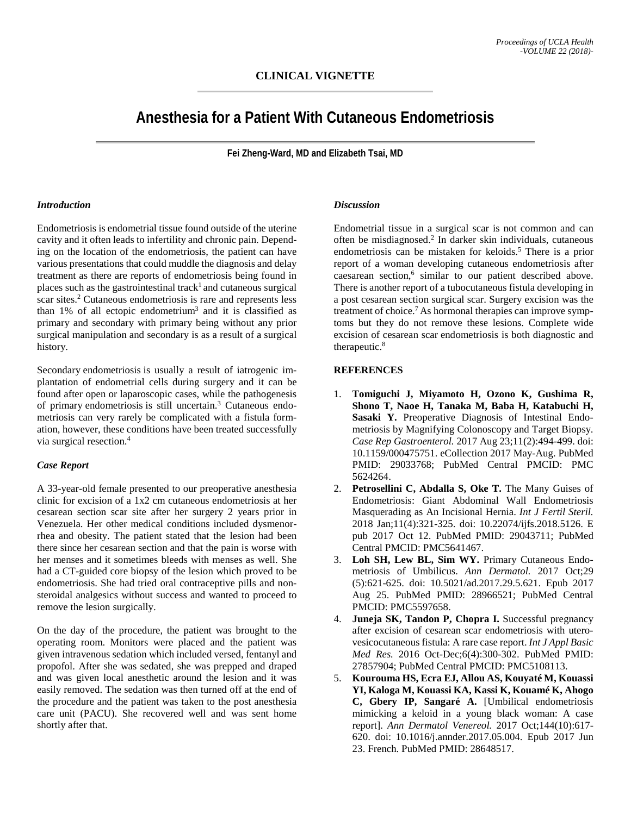# **Anesthesia for a Patient With Cutaneous Endometriosis**

**Fei Zheng-Ward, MD and Elizabeth Tsai, MD**

#### *Introduction*

Endometriosis is endometrial tissue found outside of the uterine cavity and it often leads to infertility and chronic pain. Depending on the location of the endometriosis, the patient can have various presentations that could muddle the diagnosis and delay treatment as there are reports of endometriosis being found in places such as the gastrointestinal track<sup>1</sup> and cutaneous surgical scar sites. <sup>2</sup> Cutaneous endometriosis is rare and represents less than  $1\%$  of all ectopic endometrium<sup>3</sup> and it is classified as primary and secondary with primary being without any prior surgical manipulation and secondary is as a result of a surgical history.

Secondary endometriosis is usually a result of iatrogenic implantation of endometrial cells during surgery and it can be found after open or laparoscopic cases, while the pathogenesis of primary endometriosis is still uncertain. <sup>3</sup> Cutaneous endometriosis can very rarely be complicated with a fistula formation, however, these conditions have been treated successfully via surgical resection. 4

### *Case Report*

A 33-year-old female presented to our preoperative anesthesia clinic for excision of a 1x2 cm cutaneous endometriosis at her cesarean section scar site after her surgery 2 years prior in Venezuela. Her other medical conditions included dysmenorrhea and obesity. The patient stated that the lesion had been there since her cesarean section and that the pain is worse with her menses and it sometimes bleeds with menses as well. She had a CT-guided core biopsy of the lesion which proved to be endometriosis. She had tried oral contraceptive pills and nonsteroidal analgesics without success and wanted to proceed to remove the lesion surgically.

On the day of the procedure, the patient was brought to the operating room. Monitors were placed and the patient was given intravenous sedation which included versed, fentanyl and propofol. After she was sedated, she was prepped and draped and was given local anesthetic around the lesion and it was easily removed. The sedation was then turned off at the end of the procedure and the patient was taken to the post anesthesia care unit (PACU). She recovered well and was sent home shortly after that.

## *Discussion*

Endometrial tissue in a surgical scar is not common and can often be misdiagnosed. <sup>2</sup> In darker skin individuals, cutaneous endometriosis can be mistaken for keloids. <sup>5</sup> There is a prior report of a woman developing cutaneous endometriosis after caesarean section, <sup>6</sup> similar to our patient described above. There is another report of a tubocutaneous fistula developing in a post cesarean section surgical scar. Surgery excision was the treatment of choice. 7 As hormonal therapies can improve symptoms but they do not remove these lesions. Complete wide excision of cesarean scar endometriosis is both diagnostic and therapeutic. 8

#### **REFERENCES**

- 1. **Tomiguchi J, Miyamoto H, Ozono K, Gushima R, Shono T, Naoe H, Tanaka M, Baba H, Katabuchi H, Sasaki Y.** Preoperative Diagnosis of Intestinal Endometriosis by Magnifying Colonoscopy and Target Biopsy. *Case Rep Gastroenterol.* 2017 Aug 23;11(2):494-499. doi: 10.1159/000475751. eCollection 2017 May-Aug. PubMed PMID: 29033768; PubMed Central PMCID: PMC 5624264.
- 2. **Petrosellini C, Abdalla S, Oke T.** The Many Guises of Endometriosis: Giant Abdominal Wall Endometriosis Masquerading as An Incisional Hernia. *Int J Fertil Steril.*  2018 Jan;11(4):321-325. doi: 10.22074/ijfs.2018.5126. E pub 2017 Oct 12. PubMed PMID: 29043711; PubMed Central PMCID: PMC5641467.
- 3. **Loh SH, Lew BL, Sim WY.** Primary Cutaneous Endometriosis of Umbilicus. *Ann Dermatol.* 2017 Oct;29 (5):621-625. doi: 10.5021/ad.2017.29.5.621. Epub 2017 Aug 25. PubMed PMID: 28966521; PubMed Central PMCID: PMC5597658.
- 4. **Juneja SK, Tandon P, Chopra I.** Successful pregnancy after excision of cesarean scar endometriosis with uterovesicocutaneous fistula: A rare case report. *Int J Appl Basic Med Res.* 2016 Oct-Dec;6(4):300-302. PubMed PMID: 27857904; PubMed Central PMCID: PMC5108113.
- 5. **Kourouma HS, Ecra EJ, Allou AS, Kouyaté M, Kouassi YI, Kaloga M, Kouassi KA, Kassi K, Kouamé K, Ahogo C, Gbery IP, Sangaré A.** [Umbilical endometriosis mimicking a keloid in a young black woman: A case report]. *Ann Dermatol Venereol.* 2017 Oct;144(10):617- 620. doi: 10.1016/j.annder.2017.05.004. Epub 2017 Jun 23. French. PubMed PMID: 28648517.